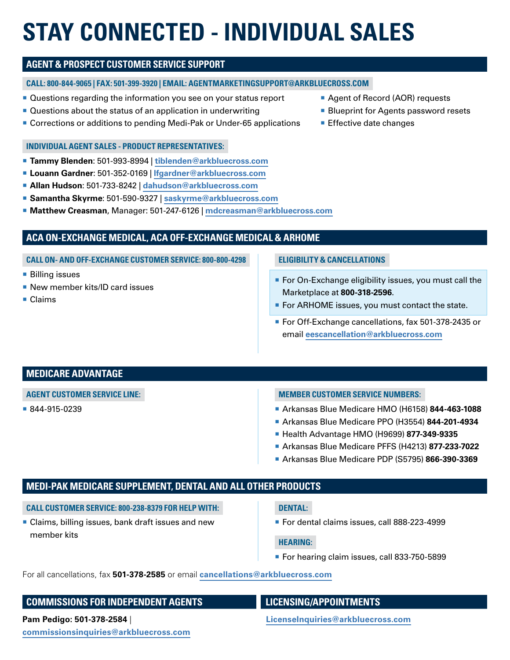# **STAY CONNECTED - INDIVIDUAL SALES**

# **AGENT & PROSPECT CUSTOMER SERVICE SUPPORT**

## **CALL: 800-844-9065 | FAX: 501-399-3920 | EMAIL: AGENTMARKETINGSUPPORT@ARKBLUECROSS.COM**

- Questions regarding the information you see on your status report
- Questions about the status of an application in underwriting
- Corrections or additions to pending Medi-Pak or Under-65 applications

### **INDIVIDUAL AGENT SALES - PRODUCT REPRESENTATIVES:**

- ¡ **Tammy Blenden**: 501-993-8994 | **[tiblenden@arkbluecross.com](mailto:tiblenden%40arkbluecross.com?subject=)**
- ¡ **Louann Gardner**: 501-352-0169 | **[lfgardner@arkbluecross.com](mailto:lfgardner%40arkbluecross.com?subject=)**
- ¡ **Allan Hudson**: 501-733-8242 | **[dahudson@arkbluecross.com](mailto:dahudson%40arkbluecross.com?subject=)**
- ¡ **Samantha Skyrme**: 501-590-9327 | **[saskyrme@arkbluecross.com](mailto:saskyrme%40arkbluecross.com?subject=)**
- ¡ **Matthew Creasman**, Manager: 501-247-6126 | **[mdcreasman@arkbluecross.com](mailto:mdcreasman%40arkbluecross.com?subject=)**

# **ACA ON-EXCHANGE MEDICAL, ACA OFF-EXCHANGE MEDICAL & ARHOME**

**CALL ON- AND OFF-EXCHANGE CUSTOMER SERVICE: 800-800-4298**

- Billing issues
- New member kits/ID card issues
- Claims

## ■ Agent of Record (AOR) requests

- Blueprint for Agents password resets
- **Effective date changes**

**ELIGIBILITY & CANCELLATIONS**

- For On-Exchange eligibility issues, you must call the Marketplace at **800-318-2596**.
- For ARHOME issues, you must contact the state.
- For Off-Exchange cancellations, fax 501-378-2435 or email **[eescancellation@arkbluecross.com](mailto:eescancellation%40arkbluecross.com?subject=)**

# **MEDICARE ADVANTAGE**

## **AGENT CUSTOMER SERVICE LINE:**

¡ 844-915-0239

## **MEMBER CUSTOMER SERVICE NUMBERS:**

- ¡ Arkansas Blue Medicare HMO (H6158) **844-463-1088**
- ¡ Arkansas Blue Medicare PPO (H3554) **844-201-4934**
- ¡ Health Advantage HMO (H9699) **877-349-9335**
- ¡ Arkansas Blue Medicare PFFS (H4213) **877-233-7022**
- ¡ Arkansas Blue Medicare PDP (S5795) **866-390-3369**

# **MEDI-PAK MEDICARE SUPPLEMENT, DENTAL AND ALL OTHER PRODUCTS**

#### **CALL CUSTOMER SERVICE: 800-238-8379 FOR HELP WITH:**

**Example 2** Claims, billing issues, bank draft issues and new member kits

#### **DENTAL:**

■ For dental claims issues, call 888-223-4999

#### **HEARING:**

■ For hearing claim issues, call 833-750-5899

For all cancellations, fax **501-378-2585** or email **[cancellations@arkbluecross.com](mailto:cancellations%40arkbluecross.com?subject=)**

# **COMMISSIONS FOR INDEPENDENT AGENTS LICENSING/APPOINTMENTS**

**Pam Pedigo: 501-378-2584** | **[LicenseInquiries@arkbluecross.com](mailto:LicenseInquiries%40arkbluecross.com?subject=)**

**[commissionsinquiries@arkbluecross.com](mailto:commissionsinquiries%40arkbluecross.com?subject=)**